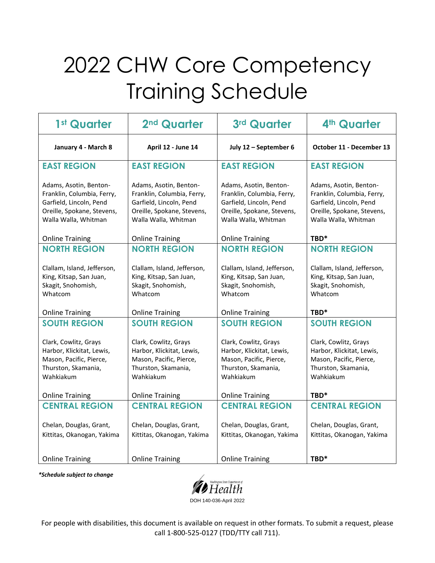## 2022 CHW Core Competency Training Schedule

| 1 <sup>st</sup> Quarter                                                                                                                                            | 2 <sup>nd</sup> Quarter                                                                                                                                            | 3rd Quarter                                                                                                                                                        | 4th Quarter                                                                                                                                      |
|--------------------------------------------------------------------------------------------------------------------------------------------------------------------|--------------------------------------------------------------------------------------------------------------------------------------------------------------------|--------------------------------------------------------------------------------------------------------------------------------------------------------------------|--------------------------------------------------------------------------------------------------------------------------------------------------|
| January 4 - March 8                                                                                                                                                | April 12 - June 14                                                                                                                                                 | July 12 - September 6                                                                                                                                              | October 11 - December 13                                                                                                                         |
| <b>EAST REGION</b>                                                                                                                                                 | <b>EAST REGION</b>                                                                                                                                                 | <b>EAST REGION</b>                                                                                                                                                 | <b>EAST REGION</b>                                                                                                                               |
| Adams, Asotin, Benton-<br>Franklin, Columbia, Ferry,<br>Garfield, Lincoln, Pend<br>Oreille, Spokane, Stevens,<br>Walla Walla, Whitman<br><b>Online Training</b>    | Adams, Asotin, Benton-<br>Franklin, Columbia, Ferry,<br>Garfield, Lincoln, Pend<br>Oreille, Spokane, Stevens,<br>Walla Walla, Whitman<br><b>Online Training</b>    | Adams, Asotin, Benton-<br>Franklin, Columbia, Ferry,<br>Garfield, Lincoln, Pend<br>Oreille, Spokane, Stevens,<br>Walla Walla, Whitman<br><b>Online Training</b>    | Adams, Asotin, Benton-<br>Franklin, Columbia, Ferry,<br>Garfield, Lincoln, Pend<br>Oreille, Spokane, Stevens,<br>Walla Walla, Whitman<br>TBD*    |
| <b>NORTH REGION</b>                                                                                                                                                | <b>NORTH REGION</b>                                                                                                                                                | <b>NORTH REGION</b>                                                                                                                                                | <b>NORTH REGION</b>                                                                                                                              |
| Clallam, Island, Jefferson,<br>King, Kitsap, San Juan,<br>Skagit, Snohomish,<br>Whatcom                                                                            | Clallam, Island, Jefferson,<br>King, Kitsap, San Juan,<br>Skagit, Snohomish,<br>Whatcom                                                                            | Clallam, Island, Jefferson,<br>King, Kitsap, San Juan,<br>Skagit, Snohomish,<br>Whatcom                                                                            | Clallam, Island, Jefferson,<br>King, Kitsap, San Juan,<br>Skagit, Snohomish,<br>Whatcom<br>TBD*                                                  |
| <b>Online Training</b>                                                                                                                                             | <b>Online Training</b>                                                                                                                                             | <b>Online Training</b>                                                                                                                                             |                                                                                                                                                  |
| <b>SOUTH REGION</b><br>Clark, Cowlitz, Grays<br>Harbor, Klickitat, Lewis,<br>Mason, Pacific, Pierce,<br>Thurston, Skamania,<br>Wahkiakum<br><b>Online Training</b> | <b>SOUTH REGION</b><br>Clark, Cowlitz, Grays<br>Harbor, Klickitat, Lewis,<br>Mason, Pacific, Pierce,<br>Thurston, Skamania,<br>Wahkiakum<br><b>Online Training</b> | <b>SOUTH REGION</b><br>Clark, Cowlitz, Grays<br>Harbor, Klickitat, Lewis,<br>Mason, Pacific, Pierce,<br>Thurston, Skamania,<br>Wahkiakum<br><b>Online Training</b> | <b>SOUTH REGION</b><br>Clark, Cowlitz, Grays<br>Harbor, Klickitat, Lewis,<br>Mason, Pacific, Pierce,<br>Thurston, Skamania,<br>Wahkiakum<br>TBD* |
| <b>CENTRAL REGION</b>                                                                                                                                              | <b>CENTRAL REGION</b>                                                                                                                                              | <b>CENTRAL REGION</b>                                                                                                                                              | <b>CENTRAL REGION</b>                                                                                                                            |
| Chelan, Douglas, Grant,<br>Kittitas, Okanogan, Yakima                                                                                                              | Chelan, Douglas, Grant,<br>Kittitas, Okanogan, Yakima                                                                                                              | Chelan, Douglas, Grant,<br>Kittitas, Okanogan, Yakima                                                                                                              | Chelan, Douglas, Grant,<br>Kittitas, Okanogan, Yakima                                                                                            |
| <b>Online Training</b>                                                                                                                                             | <b>Online Training</b>                                                                                                                                             | <b>Online Training</b>                                                                                                                                             | TBD*                                                                                                                                             |

*\*Schedule subject to change*



DOH 140-036-April 2022

For people with disabilities, this document is available on request in other formats. To submit a request, please call 1-800-525-0127 (TDD/TTY call 711).